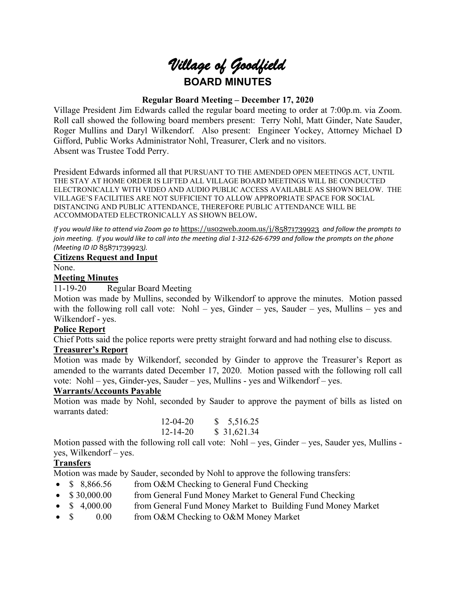

### **Regular Board Meeting – December 17, 2020**

Village President Jim Edwards called the regular board meeting to order at 7:00p.m. via Zoom. Roll call showed the following board members present: Terry Nohl, Matt Ginder, Nate Sauder, Roger Mullins and Daryl Wilkendorf. Also present: Engineer Yockey, Attorney Michael D Gifford, Public Works Administrator Nohl, Treasurer, Clerk and no visitors. Absent was Trustee Todd Perry.

President Edwards informed all that PURSUANT TO THE AMENDED OPEN MEETINGS ACT, UNTIL THE STAY AT HOME ORDER IS LIFTED ALL VILLAGE BOARD MEETINGS WILL BE CONDUCTED ELECTRONICALLY WITH VIDEO AND AUDIO PUBLIC ACCESS AVAILABLE AS SHOWN BELOW. THE VILLAGE'S FACILITIES ARE NOT SUFFICIENT TO ALLOW APPROPRIATE SPACE FOR SOCIAL DISTANCING AND PUBLIC ATTENDANCE, THEREFORE PUBLIC ATTENDANCE WILL BE ACCOMMODATED ELECTRONICALLY AS SHOWN BELOW**.**

*If you would like to attend via Zoom go to* <https://us02web.zoom.us/j/85871739923> *and follow the prompts to join meeting. If you would like to call into the meeting dial 1-312-626-6799 and follow the prompts on the phone (Meeting ID ID* 85871739923*).*

#### **Citizens Request and Input**

None.

#### **Meeting Minutes**

11-19-20 Regular Board Meeting

Motion was made by Mullins, seconded by Wilkendorf to approve the minutes. Motion passed with the following roll call vote: Nohl – yes, Ginder – yes, Sauder – yes, Mullins – yes and Wilkendorf - yes.

#### **Police Report**

Chief Potts said the police reports were pretty straight forward and had nothing else to discuss.

### **Treasurer's Report**

Motion was made by Wilkendorf, seconded by Ginder to approve the Treasurer's Report as amended to the warrants dated December 17, 2020. Motion passed with the following roll call vote: Nohl – yes, Ginder-yes, Sauder – yes, Mullins - yes and Wilkendorf – yes.

### **Warrants/Accounts Payable**

Motion was made by Nohl, seconded by Sauder to approve the payment of bills as listed on warrants dated:

|       |  |  | $12 - 04 - 20$ |  | \$5,516.25  |
|-------|--|--|----------------|--|-------------|
|       |  |  | $12 - 14 - 20$ |  | \$31,621.34 |
| - - - |  |  |                |  |             |

Motion passed with the following roll call vote: Nohl – yes, Ginder – yes, Sauder yes, Mullins yes, Wilkendorf – yes.

# **Transfers**

Motion was made by Sauder, seconded by Nohl to approve the following transfers:

- \$ 8,866.56 from O&M Checking to General Fund Checking
- \$30,000.00 from General Fund Money Market to General Fund Checking
- \$ 4,000.00 from General Fund Money Market to Building Fund Money Market
- \$ 0.00 from O&M Checking to O&M Money Market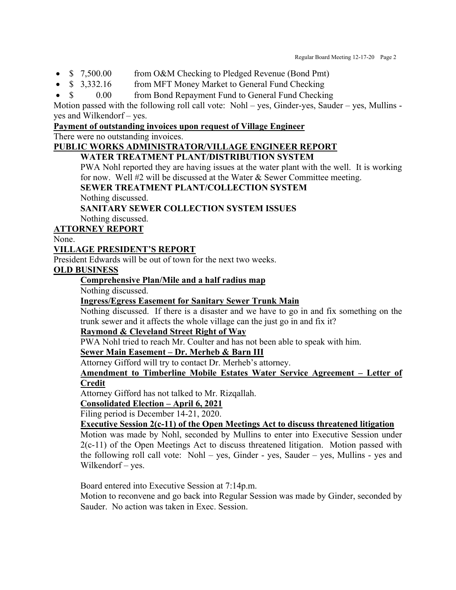- \$ 7,500.00 from O&M Checking to Pledged Revenue (Bond Pmt)
- \$ 3,332.16 from MFT Money Market to General Fund Checking
- \$ 0.00 from Bond Repayment Fund to General Fund Checking

Motion passed with the following roll call vote: Nohl – yes, Ginder-yes, Sauder – yes, Mullins yes and Wilkendorf – yes.

### **Payment of outstanding invoices upon request of Village Engineer**

There were no outstanding invoices.

#### **PUBLIC WORKS ADMINISTRATOR/VILLAGE ENGINEER REPORT WATER TREATMENT PLANT/DISTRIBUTION SYSTEM**

PWA Nohl reported they are having issues at the water plant with the well. It is working for now. Well #2 will be discussed at the Water & Sewer Committee meeting.

**SEWER TREATMENT PLANT/COLLECTION SYSTEM**

Nothing discussed.

# **SANITARY SEWER COLLECTION SYSTEM ISSUES**

Nothing discussed.

## **ATTORNEY REPORT**

None.

### **VILLAGE PRESIDENT'S REPORT**

President Edwards will be out of town for the next two weeks.

### **OLD BUSINESS**

## **Comprehensive Plan/Mile and a half radius map**

Nothing discussed.

## **Ingress/Egress Easement for Sanitary Sewer Trunk Main**

Nothing discussed. If there is a disaster and we have to go in and fix something on the trunk sewer and it affects the whole village can the just go in and fix it?

### **Raymond & Cleveland Street Right of Way**

PWA Nohl tried to reach Mr. Coulter and has not been able to speak with him.

### **Sewer Main Easement – Dr. Merheb & Barn III**

Attorney Gifford will try to contact Dr. Merheb's attorney.

### **Amendment to Timberline Mobile Estates Water Service Agreement – Letter of Credit**

Attorney Gifford has not talked to Mr. Rizqallah.

# **Consolidated Election – April 6, 2021**

Filing period is December 14-21, 2020.

## **Executive Session 2(c-11) of the Open Meetings Act to discuss threatened litigation**

Motion was made by Nohl, seconded by Mullins to enter into Executive Session under 2(c-11) of the Open Meetings Act to discuss threatened litigation. Motion passed with the following roll call vote: Nohl – yes, Ginder - yes, Sauder – yes, Mullins - yes and Wilkendorf – yes.

Board entered into Executive Session at 7:14p.m.

Motion to reconvene and go back into Regular Session was made by Ginder, seconded by Sauder. No action was taken in Exec. Session.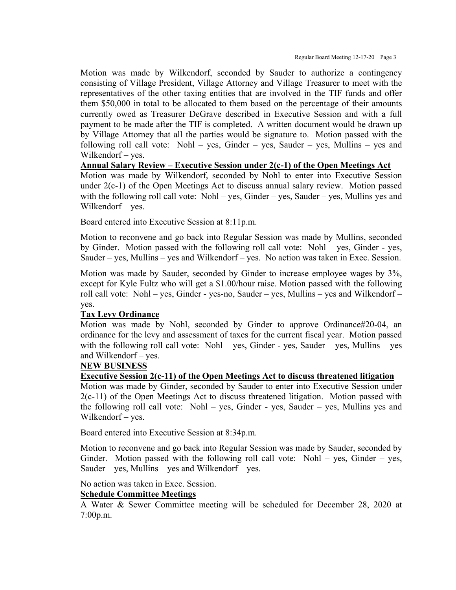Motion was made by Wilkendorf, seconded by Sauder to authorize a contingency consisting of Village President, Village Attorney and Village Treasurer to meet with the representatives of the other taxing entities that are involved in the TIF funds and offer them \$50,000 in total to be allocated to them based on the percentage of their amounts currently owed as Treasurer DeGrave described in Executive Session and with a full payment to be made after the TIF is completed. A written document would be drawn up by Village Attorney that all the parties would be signature to. Motion passed with the following roll call vote: Nohl – yes, Ginder – yes, Sauder – yes, Mullins – yes and Wilkendorf – yes.

#### **Annual Salary Review – Executive Session under 2(c-1) of the Open Meetings Act**

Motion was made by Wilkendorf, seconded by Nohl to enter into Executive Session under 2(c-1) of the Open Meetings Act to discuss annual salary review. Motion passed with the following roll call vote: Nohl – yes, Ginder – yes, Sauder – yes, Mullins yes and Wilkendorf – yes.

Board entered into Executive Session at 8:11p.m.

Motion to reconvene and go back into Regular Session was made by Mullins, seconded by Ginder. Motion passed with the following roll call vote: Nohl – yes, Ginder - yes, Sauder – yes, Mullins – yes and Wilkendorf – yes. No action was taken in Exec. Session.

Motion was made by Sauder, seconded by Ginder to increase employee wages by 3%, except for Kyle Fultz who will get a \$1.00/hour raise. Motion passed with the following roll call vote: Nohl – yes, Ginder - yes-no, Sauder – yes, Mullins – yes and Wilkendorf – yes.

### **Tax Levy Ordinance**

Motion was made by Nohl, seconded by Ginder to approve Ordinance#20-04, an ordinance for the levy and assessment of taxes for the current fiscal year. Motion passed with the following roll call vote: Nohl – yes, Ginder - yes, Sauder – yes, Mullins – yes and Wilkendorf – yes.

### **NEW BUSINESS**

### **Executive Session 2(c-11) of the Open Meetings Act to discuss threatened litigation**

Motion was made by Ginder, seconded by Sauder to enter into Executive Session under 2(c-11) of the Open Meetings Act to discuss threatened litigation. Motion passed with the following roll call vote: Nohl – yes, Ginder - yes, Sauder – yes, Mullins yes and Wilkendorf – yes.

Board entered into Executive Session at 8:34p.m.

Motion to reconvene and go back into Regular Session was made by Sauder, seconded by Ginder. Motion passed with the following roll call vote: Nohl – yes, Ginder – yes, Sauder – yes, Mullins – yes and Wilkendorf – yes.

No action was taken in Exec. Session.

#### **Schedule Committee Meetings**

A Water & Sewer Committee meeting will be scheduled for December 28, 2020 at 7:00p.m.